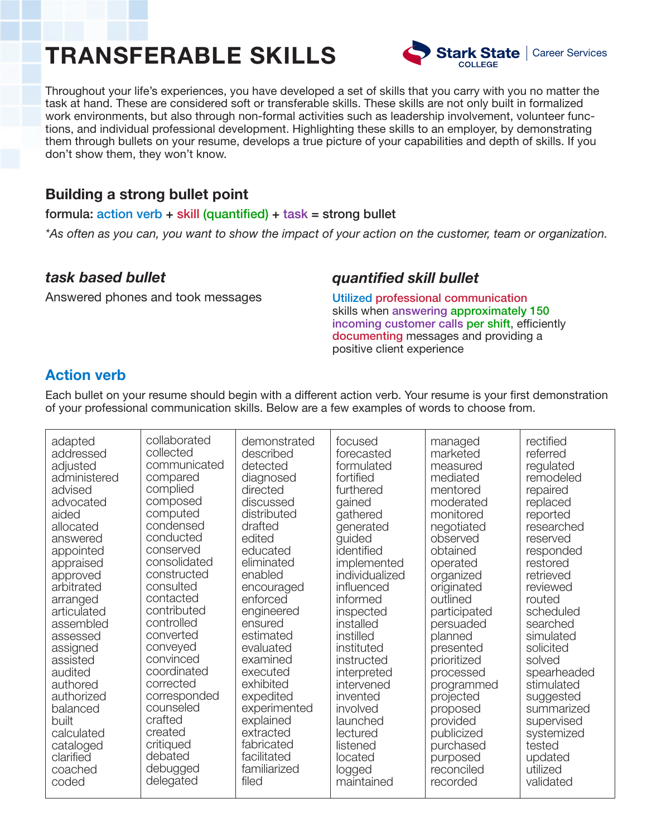# TRANSFERABLE SKILLS



Throughout your life's experiences, you have developed a set of skills that you carry with you no matter the task at hand. These are considered soft or transferable skills. These skills are not only built in formalized work environments, but also through non-formal activities such as leadership involvement, volunteer functions, and individual professional development. Highlighting these skills to an employer, by demonstrating them through bullets on your resume, develops a true picture of your capabilities and depth of skills. If you don't show them, they won't know.

# Building a strong bullet point

#### formula:  $action$  verb  $+$  skill (quantified)  $+$  task  $=$  strong bullet

*\*As often as you can, you want to show the impact of your action on the customer, team or organization.*

### *task based bullet*

Answered phones and took messages

## *quantified skill bullet*

Utilized professional communication skills when answering approximately 150 incoming customer calls per shift, efficiently documenting messages and providing a positive client experience

## Action verb

Each bullet on your resume should begin with a different action verb. Your resume is your first demonstration of your professional communication skills. Below are a few examples of words to choose from.

| adapted<br>addressed<br>adjusted<br>administered<br>advised<br>advocated<br>aided<br>allocated<br>answered<br>appointed<br>appraised<br>approved<br>arbitrated<br>arranged<br>articulated<br>assembled<br>assessed<br>assigned<br>assisted<br>audited<br>authored<br>authorized<br>balanced<br>built<br>calculated<br>cataloged<br>clarified<br>coached | collaborated<br>collected<br>communicated<br>compared<br>complied<br>composed<br>computed<br>condensed<br>conducted<br>conserved<br>consolidated<br>constructed<br>consulted<br>contacted<br>contributed<br>controlled<br>converted<br>conveyed<br>convinced<br>coordinated<br>corrected<br>corresponded<br>counseled<br>crafted<br>created<br>critiqued<br>debated<br>debugged | demonstrated<br>described<br>detected<br>diagnosed<br>directed<br>discussed<br>distributed<br>drafted<br>edited<br>educated<br>eliminated<br>enabled<br>encouraged<br>enforced<br>engineered<br>ensured<br>estimated<br>evaluated<br>examined<br>executed<br>exhibited<br>expedited<br>experimented<br>explained<br>extracted<br>fabricated<br>facilitated<br>familiarized | focused<br>forecasted<br>formulated<br>fortified<br>furthered<br>gained<br>gathered<br>generated<br>guided<br>identified<br>implemented<br>individualized<br>influenced<br>informed<br>inspected<br>installed<br>instilled<br>instituted<br>instructed<br>interpreted<br>intervened<br>invented<br>involved<br>launched<br>lectured<br>listened<br>located<br>logged | managed<br>marketed<br>measured<br>mediated<br>mentored<br>moderated<br>monitored<br>negotiated<br>observed<br>obtained<br>operated<br>organized<br>originated<br>outlined<br>participated<br>persuaded<br>planned<br>presented<br>prioritized<br>processed<br>programmed<br>projected<br>proposed<br>provided<br>publicized<br>purchased<br>purposed<br>reconciled | rectified<br>referred<br>regulated<br>remodeled<br>repaired<br>replaced<br>reported<br>researched<br>reserved<br>responded<br>restored<br>retrieved<br>reviewed<br>routed<br>scheduled<br>searched<br>simulated<br>solicited<br>solved<br>spearheaded<br>stimulated<br>suggested<br>summarized<br>supervised<br>systemized<br>tested<br>updated<br>utilized |
|---------------------------------------------------------------------------------------------------------------------------------------------------------------------------------------------------------------------------------------------------------------------------------------------------------------------------------------------------------|---------------------------------------------------------------------------------------------------------------------------------------------------------------------------------------------------------------------------------------------------------------------------------------------------------------------------------------------------------------------------------|----------------------------------------------------------------------------------------------------------------------------------------------------------------------------------------------------------------------------------------------------------------------------------------------------------------------------------------------------------------------------|----------------------------------------------------------------------------------------------------------------------------------------------------------------------------------------------------------------------------------------------------------------------------------------------------------------------------------------------------------------------|---------------------------------------------------------------------------------------------------------------------------------------------------------------------------------------------------------------------------------------------------------------------------------------------------------------------------------------------------------------------|-------------------------------------------------------------------------------------------------------------------------------------------------------------------------------------------------------------------------------------------------------------------------------------------------------------------------------------------------------------|
| coded                                                                                                                                                                                                                                                                                                                                                   | delegated                                                                                                                                                                                                                                                                                                                                                                       | filed                                                                                                                                                                                                                                                                                                                                                                      | maintained                                                                                                                                                                                                                                                                                                                                                           | recorded                                                                                                                                                                                                                                                                                                                                                            | validated                                                                                                                                                                                                                                                                                                                                                   |
|                                                                                                                                                                                                                                                                                                                                                         |                                                                                                                                                                                                                                                                                                                                                                                 |                                                                                                                                                                                                                                                                                                                                                                            |                                                                                                                                                                                                                                                                                                                                                                      |                                                                                                                                                                                                                                                                                                                                                                     |                                                                                                                                                                                                                                                                                                                                                             |